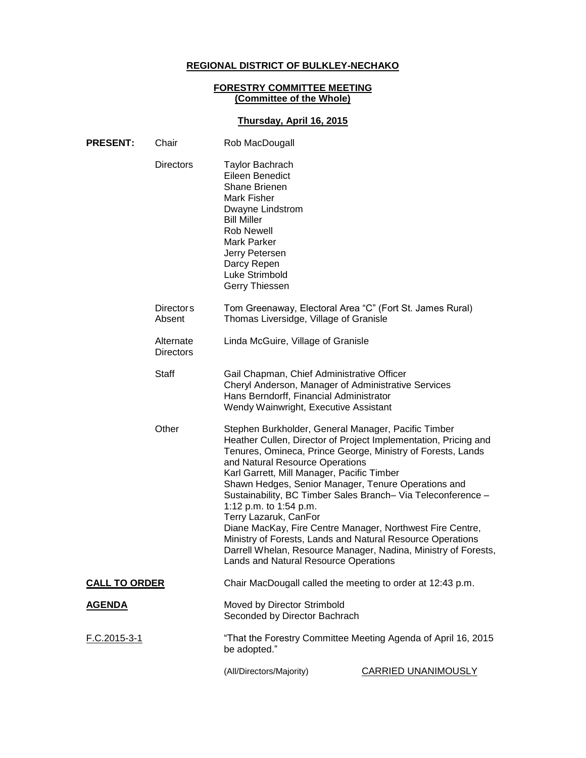# **REGIONAL DISTRICT OF BULKLEY-NECHAKO**

#### **FORESTRY COMMITTEE MEETING (Committee of the Whole)**

# **Thursday, April 16, 2015**

| <b>PRESENT:</b>      | Chair                         | Rob MacDougall                                                                                                                                                                                                                                                                                                                                                                                                                                                                                                                                                                                                       |                                                                |
|----------------------|-------------------------------|----------------------------------------------------------------------------------------------------------------------------------------------------------------------------------------------------------------------------------------------------------------------------------------------------------------------------------------------------------------------------------------------------------------------------------------------------------------------------------------------------------------------------------------------------------------------------------------------------------------------|----------------------------------------------------------------|
|                      | <b>Directors</b>              | <b>Taylor Bachrach</b><br>Eileen Benedict<br>Shane Brienen<br>Mark Fisher<br>Dwayne Lindstrom<br><b>Bill Miller</b><br><b>Rob Newell</b><br>Mark Parker<br>Jerry Petersen<br>Darcy Repen<br>Luke Strimbold<br>Gerry Thiessen                                                                                                                                                                                                                                                                                                                                                                                         |                                                                |
|                      | <b>Directors</b><br>Absent    | Tom Greenaway, Electoral Area "C" (Fort St. James Rural)<br>Thomas Liversidge, Village of Granisle                                                                                                                                                                                                                                                                                                                                                                                                                                                                                                                   |                                                                |
|                      | Alternate<br><b>Directors</b> | Linda McGuire, Village of Granisle                                                                                                                                                                                                                                                                                                                                                                                                                                                                                                                                                                                   |                                                                |
|                      | Staff                         | Gail Chapman, Chief Administrative Officer<br>Cheryl Anderson, Manager of Administrative Services<br>Hans Berndorff, Financial Administrator<br>Wendy Wainwright, Executive Assistant                                                                                                                                                                                                                                                                                                                                                                                                                                |                                                                |
|                      | Other                         | Stephen Burkholder, General Manager, Pacific Timber<br>Heather Cullen, Director of Project Implementation, Pricing and<br>Tenures, Omineca, Prince George, Ministry of Forests, Lands<br>and Natural Resource Operations<br>Karl Garrett, Mill Manager, Pacific Timber<br>Shawn Hedges, Senior Manager, Tenure Operations and<br>Sustainability, BC Timber Sales Branch- Via Teleconference -<br>1:12 p.m. to 1:54 p.m.<br>Terry Lazaruk, CanFor<br>Diane MacKay, Fire Centre Manager, Northwest Fire Centre,<br>Ministry of Forests, Lands and Natural Resource Operations<br>Lands and Natural Resource Operations | Darrell Whelan, Resource Manager, Nadina, Ministry of Forests, |
| <b>CALL TO ORDER</b> |                               | Chair MacDougall called the meeting to order at 12:43 p.m.                                                                                                                                                                                                                                                                                                                                                                                                                                                                                                                                                           |                                                                |
| <b>AGENDA</b>        |                               | Moved by Director Strimbold<br>Seconded by Director Bachrach                                                                                                                                                                                                                                                                                                                                                                                                                                                                                                                                                         |                                                                |
| F.C.2015-3-1         |                               | "That the Forestry Committee Meeting Agenda of April 16, 2015<br>be adopted."                                                                                                                                                                                                                                                                                                                                                                                                                                                                                                                                        |                                                                |
|                      |                               | (All/Directors/Majority)                                                                                                                                                                                                                                                                                                                                                                                                                                                                                                                                                                                             | <b>CARRIED UNANIMOUSLY</b>                                     |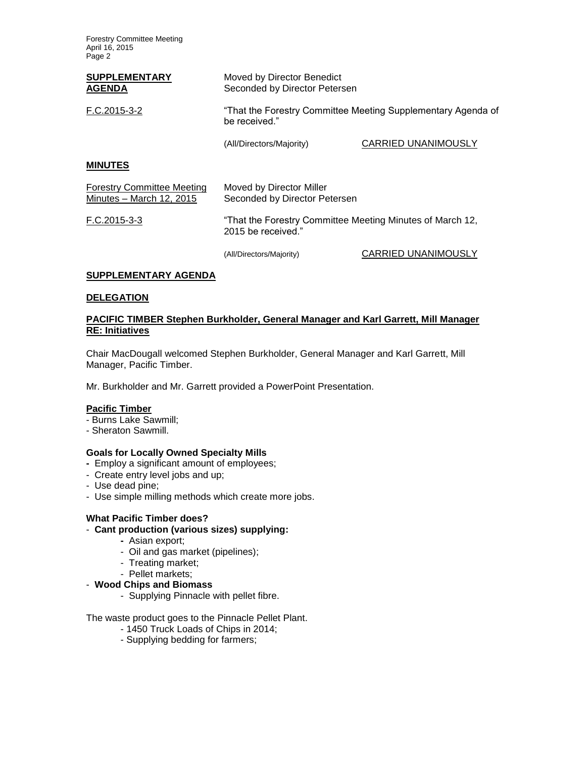| <b>SUPPLEMENTARY</b><br><b>AGENDA</b>                         | Moved by Director Benedict<br>Seconded by Director Petersen                     |                            |
|---------------------------------------------------------------|---------------------------------------------------------------------------------|----------------------------|
| F.C.2015-3-2                                                  | "That the Forestry Committee Meeting Supplementary Agenda of<br>be received."   |                            |
|                                                               | (All/Directors/Majority)                                                        | CARRIED UNANIMOUSLY        |
| <b>MINUTES</b>                                                |                                                                                 |                            |
| <b>Forestry Committee Meeting</b><br>Minutes - March 12, 2015 | Moved by Director Miller<br>Seconded by Director Petersen                       |                            |
| F.C.2015-3-3                                                  | "That the Forestry Committee Meeting Minutes of March 12,<br>2015 be received." |                            |
|                                                               | (All/Directors/Majority)                                                        | <b>CARRIED UNANIMOUSLY</b> |

# **SUPPLEMENTARY AGENDA**

#### **DELEGATION**

### **PACIFIC TIMBER Stephen Burkholder, General Manager and Karl Garrett, Mill Manager RE: Initiatives**

Chair MacDougall welcomed Stephen Burkholder, General Manager and Karl Garrett, Mill Manager, Pacific Timber.

Mr. Burkholder and Mr. Garrett provided a PowerPoint Presentation.

### **Pacific Timber**

- Burns Lake Sawmill;
- Sheraton Sawmill.

### **Goals for Locally Owned Specialty Mills**

- Employ a significant amount of employees;
- Create entry level jobs and up;
- Use dead pine;
- Use simple milling methods which create more jobs.

#### **What Pacific Timber does?**

- **Cant production (various sizes) supplying:**
	- Asian export;
	- Oil and gas market (pipelines);
	- Treating market;
	- Pellet markets;

# - **Wood Chips and Biomass**

- Supplying Pinnacle with pellet fibre.

#### The waste product goes to the Pinnacle Pellet Plant.

- 1450 Truck Loads of Chips in 2014;
- Supplying bedding for farmers;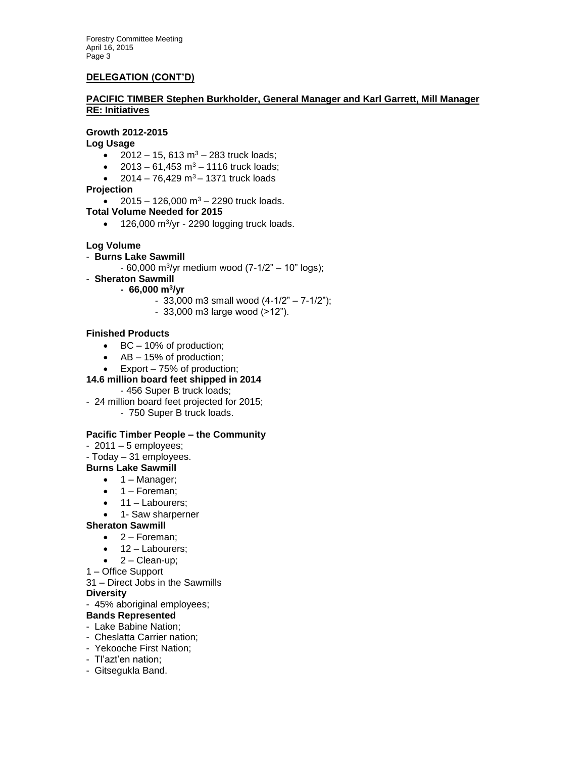## **DELEGATION (CONT'D)**

## **PACIFIC TIMBER Stephen Burkholder, General Manager and Karl Garrett, Mill Manager RE: Initiatives**

**Growth 2012-2015**

**Log Usage**

- $\bullet$  2012 15, 613 m<sup>3</sup> 283 truck loads;
- $2013 61,453$  m<sup>3</sup> 1116 truck loads;
- $2014 76,429 \text{ m}^3 1371 \text{ truck loads}$

**Projection**

•  $2015 - 126,000$  m<sup>3</sup> – 2290 truck loads.

### **Total Volume Needed for 2015**

 $\bullet$  126,000 m<sup>3</sup>/yr - 2290 logging truck loads.

# **Log Volume**

- **Burns Lake Sawmill**
	- 60,000 m<sup>3</sup> /yr medium wood (7-1/2" 10" logs);
- **Sheraton Sawmill**
	- **66,000 m<sup>3</sup> /yr**
		- $-$  33,000 m3 small wood  $(4-1/2" 7-1/2")$ ;
		- 33,000 m3 large wood (>12").

# **Finished Products**

- $\bullet$  BC 10% of production;
- $\bullet$  AB 15% of production;
- Export 75% of production;

# **14.6 million board feet shipped in 2014**

### - 456 Super B truck loads;

- 24 million board feet projected for 2015;
	- 750 Super B truck loads.

### **Pacific Timber People – the Community**

- $-2011 5$  employees;
- Today 31 employees.

# **Burns Lake Sawmill**

- $\bullet$  1 Manager;
- $\bullet$  1 Foreman;
- $\bullet$  11 Labourers:
- 1- Saw sharperner

# **Sheraton Sawmill**

- $\bullet$  2 Foreman;
- $\bullet$  12 Labourers;
- $\bullet$  2 Clean-up;
- 1 Office Support

### 31 – Direct Jobs in the Sawmills

### **Diversity**

- 45% aboriginal employees;

## **Bands Represented**

- Lake Babine Nation;
- Cheslatta Carrier nation;
- Yekooche First Nation;
- Tl'azt'en nation;
- Gitsegukla Band.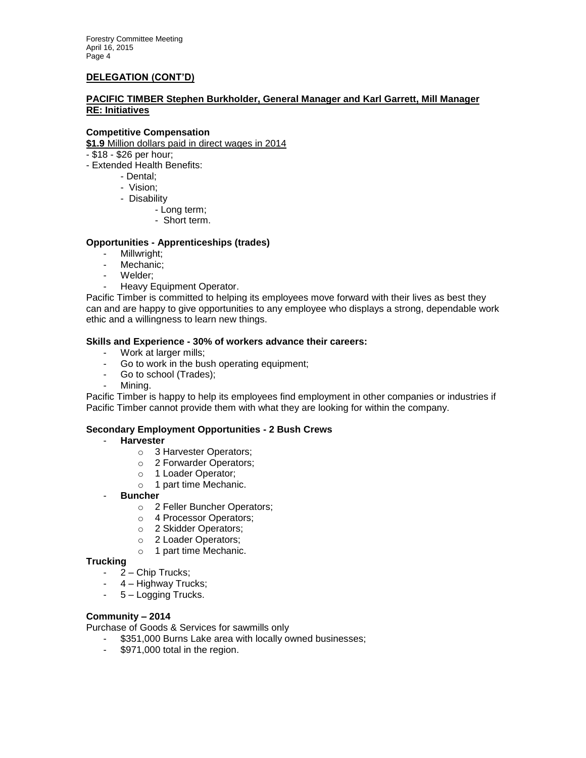# **DELEGATION (CONT'D)**

## **PACIFIC TIMBER Stephen Burkholder, General Manager and Karl Garrett, Mill Manager RE: Initiatives**

## **Competitive Compensation**

**\$1.9** Million dollars paid in direct wages in 2014

- \$18 \$26 per hour;
- Extended Health Benefits:
	- Dental;
	- Vision;
	- Disability
		- Long term;
			- Short term.

# **Opportunities - Apprenticeships (trades)**

- Millwright;
- Mechanic;
- Welder:
- Heavy Equipment Operator.

Pacific Timber is committed to helping its employees move forward with their lives as best they can and are happy to give opportunities to any employee who displays a strong, dependable work ethic and a willingness to learn new things.

### **Skills and Experience - 30% of workers advance their careers:**

- Work at larger mills;<br>- Go to work in the bus
- Go to work in the bush operating equipment;
- Go to school (Trades);
- Mining.

Pacific Timber is happy to help its employees find employment in other companies or industries if Pacific Timber cannot provide them with what they are looking for within the company.

### **Secondary Employment Opportunities - 2 Bush Crews**

- **Harvester**
	- o 3 Harvester Operators;
	- o 2 Forwarder Operators;
	- o 1 Loader Operator;
	- o 1 part time Mechanic.
	- **Buncher**
		- o 2 Feller Buncher Operators;
		- o 4 Processor Operators;
		- o 2 Skidder Operators;
		- o 2 Loader Operators;
		- o 1 part time Mechanic.

### **Trucking**

- 2 Chip Trucks;
- 4 Highway Trucks;
- 5 Logging Trucks.

### **Community – 2014**

Purchase of Goods & Services for sawmills only

- \$351,000 Burns Lake area with locally owned businesses;
- \$971,000 total in the region.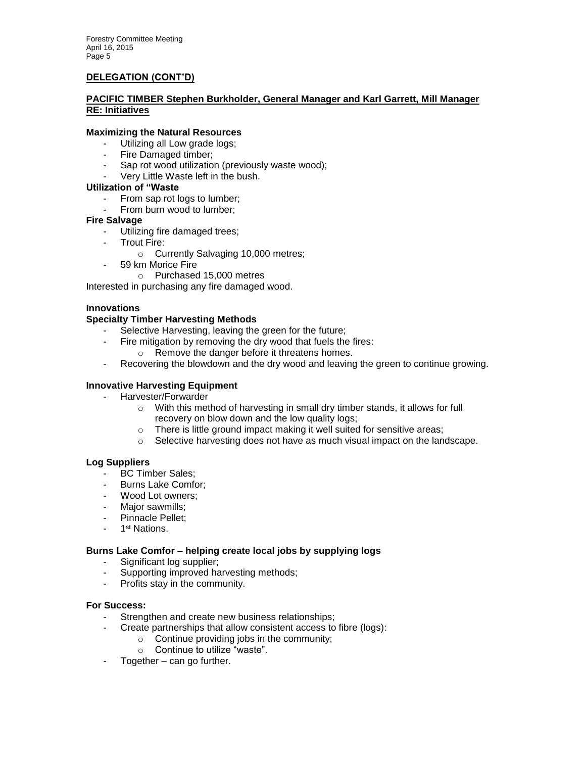## **DELEGATION (CONT'D)**

## **PACIFIC TIMBER Stephen Burkholder, General Manager and Karl Garrett, Mill Manager RE: Initiatives**

### **Maximizing the Natural Resources**

- Utilizing all Low grade logs;
- Fire Damaged timber:
- Sap rot wood utilization (previously waste wood);
- Very Little Waste left in the bush.

#### **Utilization of "Waste**

- From sap rot logs to lumber;
- From burn wood to lumber;

#### **Fire Salvage**

- Utilizing fire damaged trees;
- Trout Fire:
	- o Currently Salvaging 10,000 metres;
- 59 km Morice Fire
	- o Purchased 15,000 metres

Interested in purchasing any fire damaged wood.

#### **Innovations**

#### **Specialty Timber Harvesting Methods**

- Selective Harvesting, leaving the green for the future;
	- Fire mitigation by removing the dry wood that fuels the fires:
		- o Remove the danger before it threatens homes.
- Recovering the blowdown and the dry wood and leaving the green to continue growing.

### **Innovative Harvesting Equipment**

- Harvester/Forwarder
	- o With this method of harvesting in small dry timber stands, it allows for full recovery on blow down and the low quality logs;
	- o There is little ground impact making it well suited for sensitive areas;
	- $\circ$  Selective harvesting does not have as much visual impact on the landscape.

### **Log Suppliers**

- BC Timber Sales;
- Burns Lake Comfor;
- Wood Lot owners;
- Major sawmills;
- Pinnacle Pellet;
- 1<sup>st</sup> Nations.

### **Burns Lake Comfor – helping create local jobs by supplying logs**

- Significant log supplier;
- Supporting improved harvesting methods;
- Profits stay in the community.

#### **For Success:**

- Strengthen and create new business relationships;
- Create partnerships that allow consistent access to fibre (logs):
	- $\circ$  Continue providing jobs in the community;
	- o Continue to utilize "waste".
- Together can go further.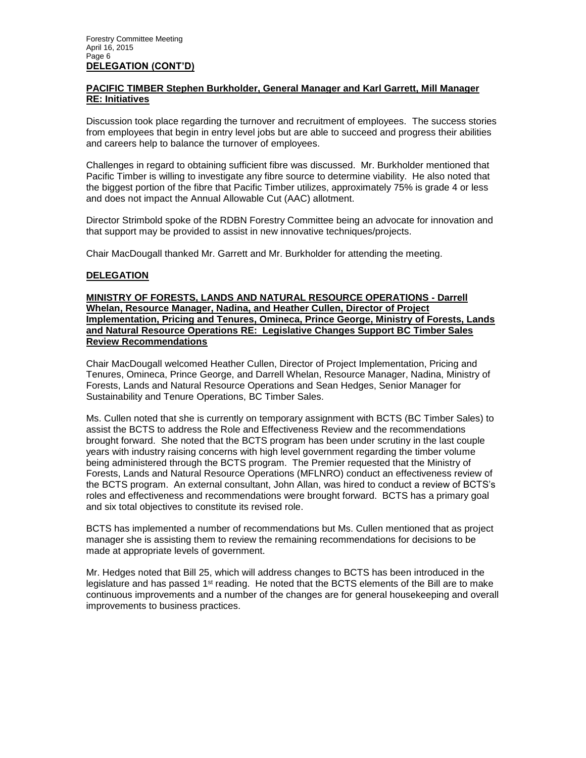### **PACIFIC TIMBER Stephen Burkholder, General Manager and Karl Garrett, Mill Manager RE: Initiatives**

Discussion took place regarding the turnover and recruitment of employees. The success stories from employees that begin in entry level jobs but are able to succeed and progress their abilities and careers help to balance the turnover of employees.

Challenges in regard to obtaining sufficient fibre was discussed. Mr. Burkholder mentioned that Pacific Timber is willing to investigate any fibre source to determine viability. He also noted that the biggest portion of the fibre that Pacific Timber utilizes, approximately 75% is grade 4 or less and does not impact the Annual Allowable Cut (AAC) allotment.

Director Strimbold spoke of the RDBN Forestry Committee being an advocate for innovation and that support may be provided to assist in new innovative techniques/projects.

Chair MacDougall thanked Mr. Garrett and Mr. Burkholder for attending the meeting.

### **DELEGATION**

### **MINISTRY OF FORESTS, LANDS AND NATURAL RESOURCE OPERATIONS - Darrell Whelan, Resource Manager, Nadina, and Heather Cullen, Director of Project Implementation, Pricing and Tenures, Omineca, Prince George, Ministry of Forests, Lands and Natural Resource Operations RE: Legislative Changes Support BC Timber Sales Review Recommendations**

Chair MacDougall welcomed Heather Cullen, Director of Project Implementation, Pricing and Tenures, Omineca, Prince George, and Darrell Whelan, Resource Manager, Nadina, Ministry of Forests, Lands and Natural Resource Operations and Sean Hedges, Senior Manager for Sustainability and Tenure Operations, BC Timber Sales.

Ms. Cullen noted that she is currently on temporary assignment with BCTS (BC Timber Sales) to assist the BCTS to address the Role and Effectiveness Review and the recommendations brought forward. She noted that the BCTS program has been under scrutiny in the last couple years with industry raising concerns with high level government regarding the timber volume being administered through the BCTS program. The Premier requested that the Ministry of Forests, Lands and Natural Resource Operations (MFLNRO) conduct an effectiveness review of the BCTS program. An external consultant, John Allan, was hired to conduct a review of BCTS's roles and effectiveness and recommendations were brought forward. BCTS has a primary goal and six total objectives to constitute its revised role.

BCTS has implemented a number of recommendations but Ms. Cullen mentioned that as project manager she is assisting them to review the remaining recommendations for decisions to be made at appropriate levels of government.

Mr. Hedges noted that Bill 25, which will address changes to BCTS has been introduced in the legislature and has passed  $1<sup>st</sup>$  reading. He noted that the BCTS elements of the Bill are to make continuous improvements and a number of the changes are for general housekeeping and overall improvements to business practices.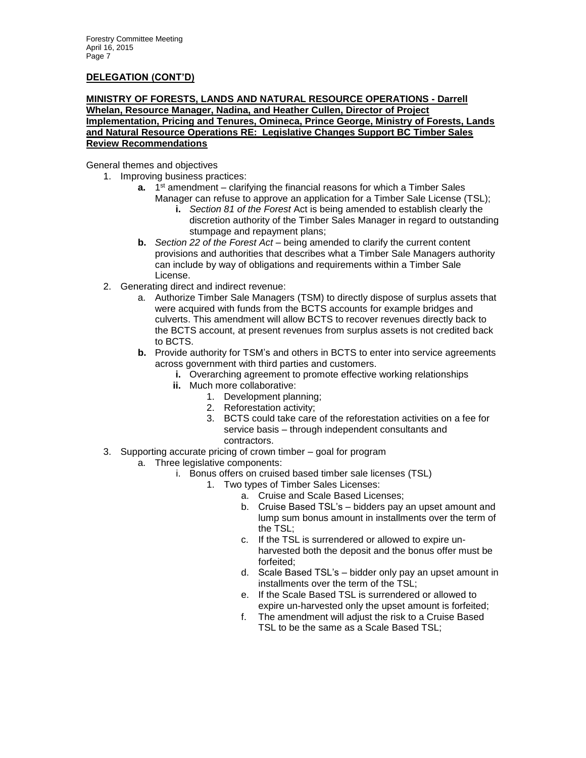## **DELEGATION (CONT'D)**

### **MINISTRY OF FORESTS, LANDS AND NATURAL RESOURCE OPERATIONS - Darrell Whelan, Resource Manager, Nadina, and Heather Cullen, Director of Project Implementation, Pricing and Tenures, Omineca, Prince George, Ministry of Forests, Lands and Natural Resource Operations RE: Legislative Changes Support BC Timber Sales Review Recommendations**

General themes and objectives

- 1. Improving business practices:
	- **a.** 1<sup>st</sup> amendment clarifying the financial reasons for which a Timber Sales Manager can refuse to approve an application for a Timber Sale License (TSL);
		- **i.** *Section 81 of the Forest* Act is being amended to establish clearly the discretion authority of the Timber Sales Manager in regard to outstanding stumpage and repayment plans;
	- **b.** *Section 22 of the Forest Act* being amended to clarify the current content provisions and authorities that describes what a Timber Sale Managers authority can include by way of obligations and requirements within a Timber Sale License.
- 2. Generating direct and indirect revenue:
	- a. Authorize Timber Sale Managers (TSM) to directly dispose of surplus assets that were acquired with funds from the BCTS accounts for example bridges and culverts. This amendment will allow BCTS to recover revenues directly back to the BCTS account, at present revenues from surplus assets is not credited back to BCTS.
	- **b.** Provide authority for TSM's and others in BCTS to enter into service agreements across government with third parties and customers.
		- **i.** Overarching agreement to promote effective working relationships
		- **ii.** Much more collaborative:
			- 1. Development planning;
			- 2. Reforestation activity;
			- 3. BCTS could take care of the reforestation activities on a fee for service basis – through independent consultants and contractors.
- 3. Supporting accurate pricing of crown timber goal for program
	- a. Three legislative components:
		- i. Bonus offers on cruised based timber sale licenses (TSL)
			- 1. Two types of Timber Sales Licenses:
				- a. Cruise and Scale Based Licenses;
					- b. Cruise Based TSL's bidders pay an upset amount and lump sum bonus amount in installments over the term of the TSL;
					- c. If the TSL is surrendered or allowed to expire unharvested both the deposit and the bonus offer must be forfeited;
					- d. Scale Based TSL's bidder only pay an upset amount in installments over the term of the TSL;
					- e. If the Scale Based TSL is surrendered or allowed to expire un-harvested only the upset amount is forfeited;
					- f. The amendment will adjust the risk to a Cruise Based TSL to be the same as a Scale Based TSL;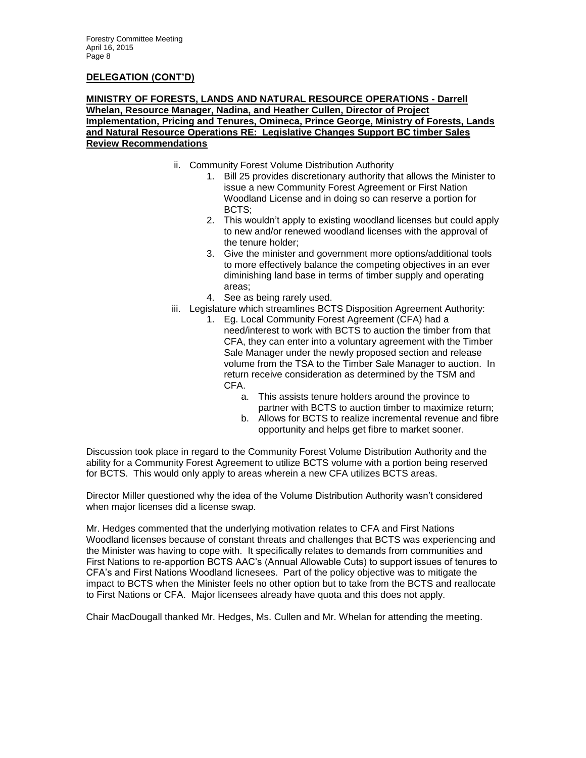### **DELEGATION (CONT'D)**

### **MINISTRY OF FORESTS, LANDS AND NATURAL RESOURCE OPERATIONS - Darrell Whelan, Resource Manager, Nadina, and Heather Cullen, Director of Project Implementation, Pricing and Tenures, Omineca, Prince George, Ministry of Forests, Lands and Natural Resource Operations RE: Legislative Changes Support BC timber Sales Review Recommendations**

- ii. Community Forest Volume Distribution Authority
	- 1. Bill 25 provides discretionary authority that allows the Minister to issue a new Community Forest Agreement or First Nation Woodland License and in doing so can reserve a portion for BCTS;
	- 2. This wouldn't apply to existing woodland licenses but could apply to new and/or renewed woodland licenses with the approval of the tenure holder;
	- 3. Give the minister and government more options/additional tools to more effectively balance the competing objectives in an ever diminishing land base in terms of timber supply and operating areas;
	- 4. See as being rarely used.
- iii. Legislature which streamlines BCTS Disposition Agreement Authority:
	- 1. Eg. Local Community Forest Agreement (CFA) had a need/interest to work with BCTS to auction the timber from that CFA, they can enter into a voluntary agreement with the Timber Sale Manager under the newly proposed section and release volume from the TSA to the Timber Sale Manager to auction. In return receive consideration as determined by the TSM and CFA.
		- a. This assists tenure holders around the province to partner with BCTS to auction timber to maximize return;
		- b. Allows for BCTS to realize incremental revenue and fibre opportunity and helps get fibre to market sooner.

Discussion took place in regard to the Community Forest Volume Distribution Authority and the ability for a Community Forest Agreement to utilize BCTS volume with a portion being reserved for BCTS. This would only apply to areas wherein a new CFA utilizes BCTS areas.

Director Miller questioned why the idea of the Volume Distribution Authority wasn't considered when major licenses did a license swap.

Mr. Hedges commented that the underlying motivation relates to CFA and First Nations Woodland licenses because of constant threats and challenges that BCTS was experiencing and the Minister was having to cope with. It specifically relates to demands from communities and First Nations to re-apportion BCTS AAC's (Annual Allowable Cuts) to support issues of tenures to CFA's and First Nations Woodland licnesees. Part of the policy objective was to mitigate the impact to BCTS when the Minister feels no other option but to take from the BCTS and reallocate to First Nations or CFA. Major licensees already have quota and this does not apply.

Chair MacDougall thanked Mr. Hedges, Ms. Cullen and Mr. Whelan for attending the meeting.